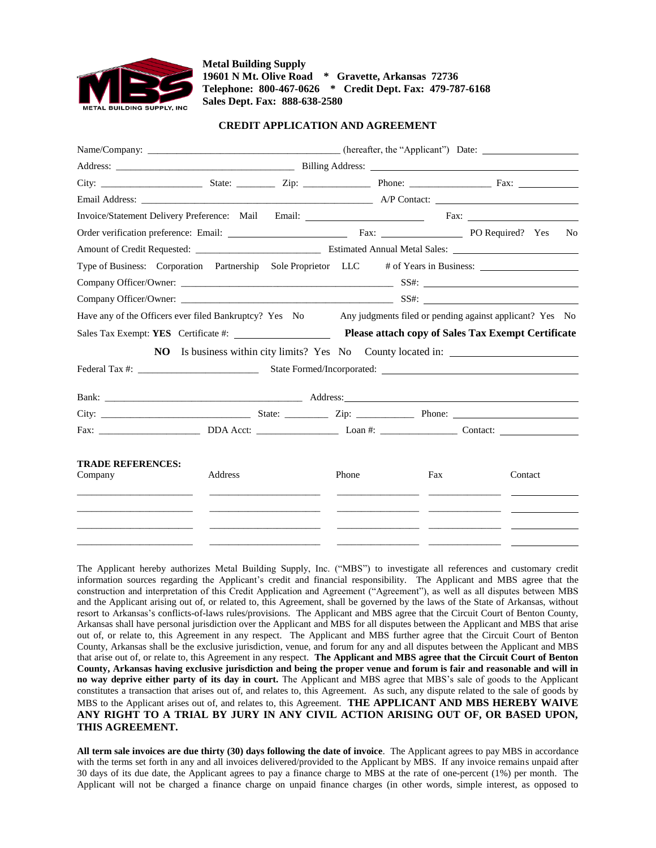

**Metal Building Supply 19601 N Mt. Olive Road \* Gravette, Arkansas 72736 Telephone: 800-467-0626 \* Credit Dept. Fax: 479-787-6168 Sales Dept. Fax: 888-638-2580** 

## **CREDIT APPLICATION AND AGREEMENT**

| Invoice/Statement Delivery Preference: Mail Email: ______________________________ Fax: _____________                                                                                                                                 |         |                                                                                                                                                                                                                                      |       |     |  |  |         |                |
|--------------------------------------------------------------------------------------------------------------------------------------------------------------------------------------------------------------------------------------|---------|--------------------------------------------------------------------------------------------------------------------------------------------------------------------------------------------------------------------------------------|-------|-----|--|--|---------|----------------|
|                                                                                                                                                                                                                                      |         |                                                                                                                                                                                                                                      |       |     |  |  |         | N <sub>0</sub> |
|                                                                                                                                                                                                                                      |         |                                                                                                                                                                                                                                      |       |     |  |  |         |                |
| Type of Business: Corporation Partnership Sole Proprietor LLC # of Years in Business:                                                                                                                                                |         |                                                                                                                                                                                                                                      |       |     |  |  |         |                |
|                                                                                                                                                                                                                                      |         |                                                                                                                                                                                                                                      |       |     |  |  |         |                |
|                                                                                                                                                                                                                                      |         |                                                                                                                                                                                                                                      |       |     |  |  |         |                |
| Have any of the Officers ever filed Bankruptcy? Yes No Any judgments filed or pending against applicant? Yes No                                                                                                                      |         |                                                                                                                                                                                                                                      |       |     |  |  |         |                |
|                                                                                                                                                                                                                                      |         |                                                                                                                                                                                                                                      |       |     |  |  |         |                |
|                                                                                                                                                                                                                                      |         | <b>NO</b> Is business within city limits? Yes No County located in:                                                                                                                                                                  |       |     |  |  |         |                |
|                                                                                                                                                                                                                                      |         |                                                                                                                                                                                                                                      |       |     |  |  |         |                |
|                                                                                                                                                                                                                                      |         |                                                                                                                                                                                                                                      |       |     |  |  |         |                |
|                                                                                                                                                                                                                                      |         |                                                                                                                                                                                                                                      |       |     |  |  |         |                |
|                                                                                                                                                                                                                                      |         |                                                                                                                                                                                                                                      |       |     |  |  |         |                |
| <b>TRADE REFERENCES:</b><br>Company                                                                                                                                                                                                  | Address |                                                                                                                                                                                                                                      | Phone | Fax |  |  | Contact |                |
| the control of the control of the control of the control of the control of the control of                                                                                                                                            |         | <u> 1989 - John Harry Harry Harry Harry Harry Harry Harry Harry Harry Harry Harry Harry Harry Harry Harry Harry Harry Harry Harry Harry Harry Harry Harry Harry Harry Harry Harry Harry Harry Harry Harry Harry Harry Harry Harr</u> |       |     |  |  |         |                |
|                                                                                                                                                                                                                                      |         |                                                                                                                                                                                                                                      |       |     |  |  |         |                |
| <u> 1989 - Johann Harry Harry Harry Harry Harry Harry Harry Harry Harry Harry Harry Harry Harry Harry Harry Harry Harry Harry Harry Harry Harry Harry Harry Harry Harry Harry Harry Harry Harry Harry Harry Harry Harry Harry Ha</u> |         |                                                                                                                                                                                                                                      |       |     |  |  |         |                |
|                                                                                                                                                                                                                                      |         |                                                                                                                                                                                                                                      |       |     |  |  |         |                |

The Applicant hereby authorizes Metal Building Supply, Inc. ("MBS") to investigate all references and customary credit information sources regarding the Applicant's credit and financial responsibility. The Applicant and MBS agree that the construction and interpretation of this Credit Application and Agreement ("Agreement"), as well as all disputes between MBS and the Applicant arising out of, or related to, this Agreement, shall be governed by the laws of the State of Arkansas, without resort to Arkansas's conflicts-of-laws rules/provisions. The Applicant and MBS agree that the Circuit Court of Benton County, Arkansas shall have personal jurisdiction over the Applicant and MBS for all disputes between the Applicant and MBS that arise out of, or relate to, this Agreement in any respect. The Applicant and MBS further agree that the Circuit Court of Benton County, Arkansas shall be the exclusive jurisdiction, venue, and forum for any and all disputes between the Applicant and MBS that arise out of, or relate to, this Agreement in any respect. **The Applicant and MBS agree that the Circuit Court of Benton County, Arkansas having exclusive jurisdiction and being the proper venue and forum is fair and reasonable and will in no way deprive either party of its day in court.** The Applicant and MBS agree that MBS's sale of goods to the Applicant constitutes a transaction that arises out of, and relates to, this Agreement. As such, any dispute related to the sale of goods by MBS to the Applicant arises out of, and relates to, this Agreement. **THE APPLICANT AND MBS HEREBY WAIVE ANY RIGHT TO A TRIAL BY JURY IN ANY CIVIL ACTION ARISING OUT OF, OR BASED UPON, THIS AGREEMENT.** 

**All term sale invoices are due thirty (30) days following the date of invoice**. The Applicant agrees to pay MBS in accordance with the terms set forth in any and all invoices delivered/provided to the Applicant by MBS. If any invoice remains unpaid after 30 days of its due date, the Applicant agrees to pay a finance charge to MBS at the rate of one-percent (1%) per month. The Applicant will not be charged a finance charge on unpaid finance charges (in other words, simple interest, as opposed to